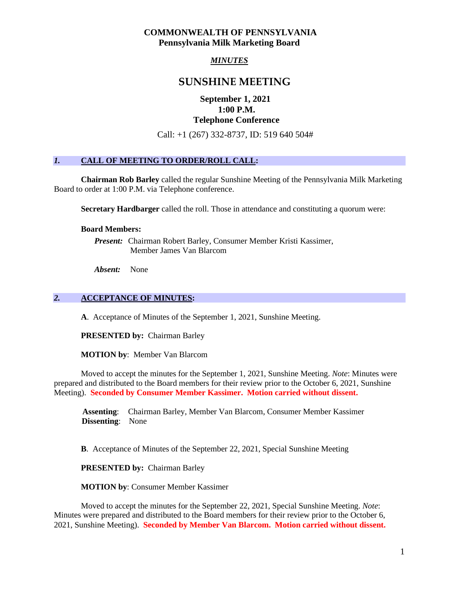## **COMMONWEALTH OF PENNSYLVANIA Pennsylvania Milk Marketing Board**

## *MINUTES*

# **SUNSHINE MEETING**

## **September 1, 2021 1:00 P.M. Telephone Conference**

Call: +1 (267) 332-8737, ID: 519 640 504#

## *1.* **CALL OF MEETING TO ORDER/ROLL CALL:**

**Chairman Rob Barley** called the regular Sunshine Meeting of the Pennsylvania Milk Marketing Board to order at 1:00 P.M. via Telephone conference.

**Secretary Hardbarger** called the roll. Those in attendance and constituting a quorum were:

#### **Board Members:**

*Present:* Chairman Robert Barley, Consumer Member Kristi Kassimer, Member James Van Blarcom

*Absent:* None

# *2.* **ACCEPTANCE OF MINUTES:**

**A**. Acceptance of Minutes of the September 1, 2021, Sunshine Meeting.

**PRESENTED by:** Chairman Barley

**MOTION by**: Member Van Blarcom

Moved to accept the minutes for the September 1, 2021, Sunshine Meeting. *Note*: Minutes were prepared and distributed to the Board members for their review prior to the October 6, 2021, Sunshine Meeting). **Seconded by Consumer Member Kassimer. Motion carried without dissent.**

 **Assenting**: Chairman Barley, Member Van Blarcom, Consumer Member Kassimer **Dissenting**: None

**B**. Acceptance of Minutes of the September 22, 2021, Special Sunshine Meeting

**PRESENTED by:** Chairman Barley

**MOTION by**: Consumer Member Kassimer

Moved to accept the minutes for the September 22, 2021, Special Sunshine Meeting. *Note*: Minutes were prepared and distributed to the Board members for their review prior to the October 6, 2021, Sunshine Meeting). **Seconded by Member Van Blarcom. Motion carried without dissent.**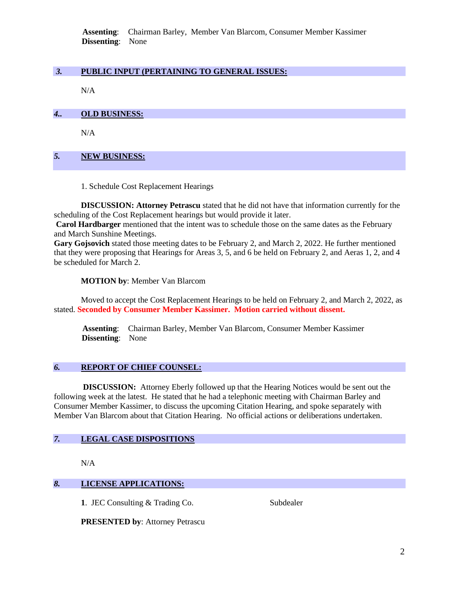**Assenting**: Chairman Barley, Member Van Blarcom, Consumer Member Kassimer **Dissenting**: None

#### *3.* **PUBLIC INPUT (PERTAINING TO GENERAL ISSUES:**

N/A

*4..* **OLD BUSINESS:**

N/A

## *5.* **NEW BUSINESS:**

1. Schedule Cost Replacement Hearings

**DISCUSSION: Attorney Petrascu** stated that he did not have that information currently for the scheduling of the Cost Replacement hearings but would provide it later.

**Carol Hardbarger** mentioned that the intent was to schedule those on the same dates as the February and March Sunshine Meetings.

**Gary Gojsovich** stated those meeting dates to be February 2, and March 2, 2022. He further mentioned that they were proposing that Hearings for Areas 3, 5, and 6 be held on February 2, and Aeras 1, 2, and 4 be scheduled for March 2.

#### **MOTION by**: Member Van Blarcom

Moved to accept the Cost Replacement Hearings to be held on February 2, and March 2, 2022, as stated. **Seconded by Consumer Member Kassimer. Motion carried without dissent.**

 **Assenting**: Chairman Barley, Member Van Blarcom, Consumer Member Kassimer  **Dissenting**: None

## *6.* **REPORT OF CHIEF COUNSEL:**

**DISCUSSION:** Attorney Eberly followed up that the Hearing Notices would be sent out the following week at the latest. He stated that he had a telephonic meeting with Chairman Barley and Consumer Member Kassimer, to discuss the upcoming Citation Hearing, and spoke separately with Member Van Blarcom about that Citation Hearing. No official actions or deliberations undertaken.

## *7.* **LEGAL CASE DISPOSITIONS**

N/A

## *8.* **LICENSE APPLICATIONS:**

1. JEC Consulting & Trading Co. Subdealer

**PRESENTED by**: Attorney Petrascu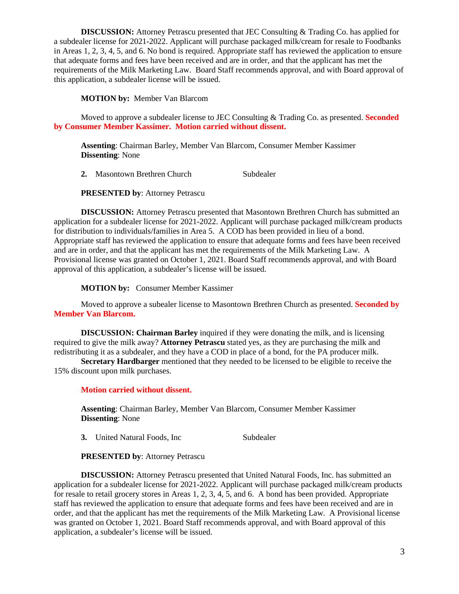**DISCUSSION:** Attorney Petrascu presented that JEC Consulting & Trading Co. has applied for a subdealer license for 2021-2022. Applicant will purchase packaged milk/cream for resale to Foodbanks in Areas 1, 2, 3, 4, 5, and 6. No bond is required. Appropriate staff has reviewed the application to ensure that adequate forms and fees have been received and are in order, and that the applicant has met the requirements of the Milk Marketing Law. Board Staff recommends approval, and with Board approval of this application, a subdealer license will be issued.

#### **MOTION by:** Member Van Blarcom

Moved to approve a subdealer license to JEC Consulting & Trading Co. as presented. **Seconded by Consumer Member Kassimer. Motion carried without dissent.**

**Assenting**: Chairman Barley, Member Van Blarcom, Consumer Member Kassimer **Dissenting**: None

**2.** Masontown Brethren Church Subdealer

**PRESENTED by**: Attorney Petrascu

**DISCUSSION:** Attorney Petrascu presented that Masontown Brethren Church has submitted an application for a subdealer license for 2021-2022. Applicant will purchase packaged milk/cream products for distribution to individuals/families in Area 5. A COD has been provided in lieu of a bond. Appropriate staff has reviewed the application to ensure that adequate forms and fees have been received and are in order, and that the applicant has met the requirements of the Milk Marketing Law. A Provisional license was granted on October 1, 2021. Board Staff recommends approval, and with Board approval of this application, a subdealer's license will be issued.

**MOTION by:** Consumer Member Kassimer

Moved to approve a subealer license to Masontown Brethren Church as presented. **Seconded by Member Van Blarcom.** 

**DISCUSSION: Chairman Barley** inquired if they were donating the milk, and is licensing required to give the milk away? **Attorney Petrascu** stated yes, as they are purchasing the milk and redistributing it as a subdealer, and they have a COD in place of a bond, for the PA producer milk.

**Secretary Hardbarger** mentioned that they needed to be licensed to be eligible to receive the 15% discount upon milk purchases.

**Motion carried without dissent.**

**Assenting**: Chairman Barley, Member Van Blarcom, Consumer Member Kassimer **Dissenting**: None

**3.** United Natural Foods, Inc Subdealer

**PRESENTED by**: Attorney Petrascu

**DISCUSSION:** Attorney Petrascu presented that United Natural Foods, Inc. has submitted an application for a subdealer license for 2021-2022. Applicant will purchase packaged milk/cream products for resale to retail grocery stores in Areas 1, 2, 3, 4, 5, and 6. A bond has been provided. Appropriate staff has reviewed the application to ensure that adequate forms and fees have been received and are in order, and that the applicant has met the requirements of the Milk Marketing Law. A Provisional license was granted on October 1, 2021. Board Staff recommends approval, and with Board approval of this application, a subdealer's license will be issued.